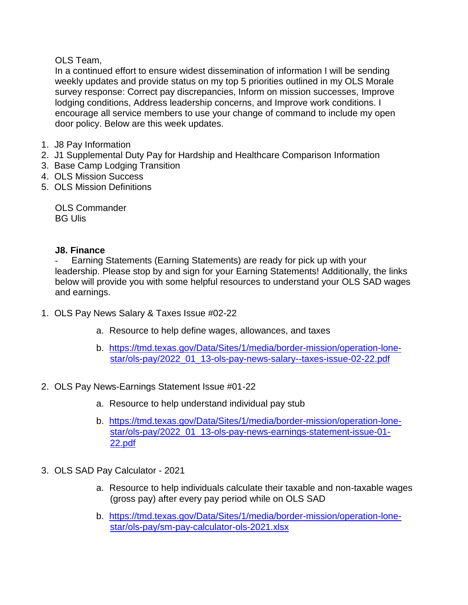### OLS Team,

In a continued effort to ensure widest dissemination of information I will be sending weekly updates and provide status on my top 5 priorities outlined in my OLS Morale survey response: Correct pay discrepancies, Inform on mission successes, Improve lodging conditions, Address leadership concerns, and Improve work conditions. I encourage all service members to use your change of command to include my open door policy. Below are this week updates.

- 1. J8 Pay Information
- 2. J1 Supplemental Duty Pay for Hardship and Healthcare Comparison Information
- 3. Base Camp Lodging Transition
- 4. OLS Mission Success
- 5. OLS Mission Definitions

OLS Commander BG Ulis

#### **J8. Finance**

Earning Statements (Earning Statements) are ready for pick up with your leadership. Please stop by and sign for your Earning Statements! Additionally, the links below will provide you with some helpful resources to understand your OLS SAD wages and earnings.

- 1. OLS Pay News Salary & Taxes Issue #02-22
	- a. Resource to help define wages, allowances, and taxes
	- b. [https://tmd.texas.gov/Data/Sites/1/media/border-mission/operation-lone](https://tmd.texas.gov/Data/Sites/1/media/border-mission/operation-lone-star/ols-pay/2022_01_13-ols-pay-news-salary--taxes-issue-02-22.pdf)[star/ols-pay/2022\\_01\\_13-ols-pay-news-salary--taxes-issue-02-22.pdf](https://tmd.texas.gov/Data/Sites/1/media/border-mission/operation-lone-star/ols-pay/2022_01_13-ols-pay-news-salary--taxes-issue-02-22.pdf)
- 2. OLS Pay News-Earnings Statement Issue #01-22
	- a. Resource to help understand individual pay stub
	- b. [https://tmd.texas.gov/Data/Sites/1/media/border-mission/operation-lone](https://tmd.texas.gov/Data/Sites/1/media/border-mission/operation-lone-star/ols-pay/2022_01_13-ols-pay-news-earnings-statement-issue-01-22.pdf)[star/ols-pay/2022\\_01\\_13-ols-pay-news-earnings-statement-issue-01-](https://tmd.texas.gov/Data/Sites/1/media/border-mission/operation-lone-star/ols-pay/2022_01_13-ols-pay-news-earnings-statement-issue-01-22.pdf) [22.pdf](https://tmd.texas.gov/Data/Sites/1/media/border-mission/operation-lone-star/ols-pay/2022_01_13-ols-pay-news-earnings-statement-issue-01-22.pdf)
- 3. OLS SAD Pay Calculator 2021
	- a. Resource to help individuals calculate their taxable and non-taxable wages (gross pay) after every pay period while on OLS SAD
	- b. [https://tmd.texas.gov/Data/Sites/1/media/border-mission/operation-lone](https://tmd.texas.gov/Data/Sites/1/media/border-mission/operation-lone-star/ols-pay/sm-pay-calculator-ols-2021.xlsx)[star/ols-pay/sm-pay-calculator-ols-2021.xlsx](https://tmd.texas.gov/Data/Sites/1/media/border-mission/operation-lone-star/ols-pay/sm-pay-calculator-ols-2021.xlsx)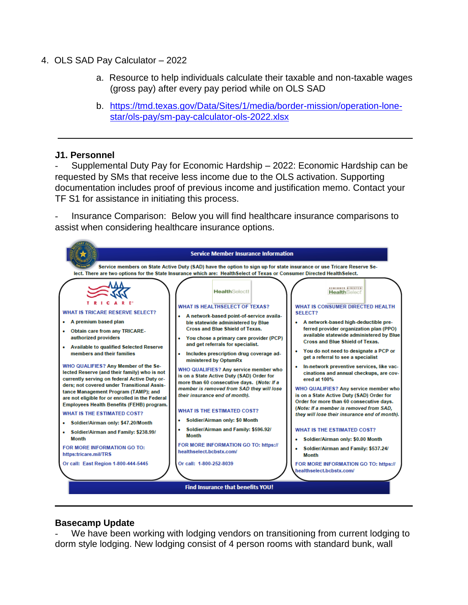- 4. OLS SAD Pay Calculator 2022
	- a. Resource to help individuals calculate their taxable and non-taxable wages (gross pay) after every pay period while on OLS SAD
	- b. [https://tmd.texas.gov/Data/Sites/1/media/border-mission/operation-lone](https://tmd.texas.gov/Data/Sites/1/media/border-mission/operation-lone-star/ols-pay/sm-pay-calculator-ols-2022.xlsx)[star/ols-pay/sm-pay-calculator-ols-2022.xlsx](https://tmd.texas.gov/Data/Sites/1/media/border-mission/operation-lone-star/ols-pay/sm-pay-calculator-ols-2022.xlsx)

#### **J1. Personnel**

- Supplemental Duty Pay for Economic Hardship – 2022: Economic Hardship can be requested by SMs that receive less income due to the OLS activation. Supporting documentation includes proof of previous income and justification memo. Contact your TF S1 for assistance in initiating this process.

- Insurance Comparison: Below you will find healthcare insurance comparisons to assist when considering healthcare insurance options.



#### **Basecamp Update**

We have been working with lodging vendors on transitioning from current lodging to dorm style lodging. New lodging consist of 4 person rooms with standard bunk, wall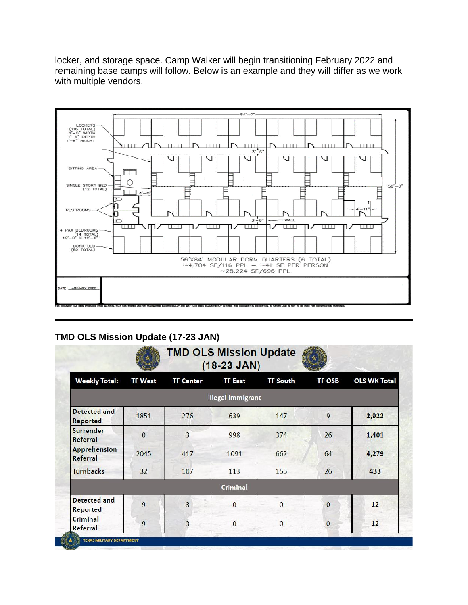locker, and storage space. Camp Walker will begin transitioning February 2022 and remaining base camps will follow. Below is an example and they will differ as we work with multiple vendors.



# **TMD OLS Mission Update (17-23 JAN)**

|                                        |                | <b>TMD OLS Mission Update</b> | $(18-23$ JAN)            |                 |                |                     |
|----------------------------------------|----------------|-------------------------------|--------------------------|-----------------|----------------|---------------------|
| <b>Weekly Total:</b>                   | <b>TF West</b> | <b>TF Center</b>              | <b>TF East</b>           | <b>TF South</b> | <b>TF OSB</b>  | <b>OLS WK Total</b> |
|                                        |                |                               | <b>Illegal Immigrant</b> |                 |                |                     |
| <b>Detected and</b><br>Reported        | 1851           | 276                           | 639                      | 147             | 9              | 2,922               |
| Surrender<br>Referral                  | $\mathbf{0}$   | $\overline{3}$                | 998                      | 374             | 26             | 1,401               |
| Apprehension<br>Referral               | 2045           | 417                           | 1091                     | 662             | 64             | 4,279               |
| <b>Turnbacks</b>                       | 32             | 107                           | 113                      | 155             | 26             | 433                 |
|                                        |                |                               | <b>Criminal</b>          |                 |                |                     |
| <b>Detected and</b><br><b>Reported</b> | $\overline{9}$ | 3                             | $\Omega$                 | $\overline{0}$  | $\overline{0}$ | 12                  |
| Criminal<br>Referral                   | 9              | 3                             | $\mathbf{0}$             | $\mathbf{0}$    | $\mathbf{0}$   | 12                  |